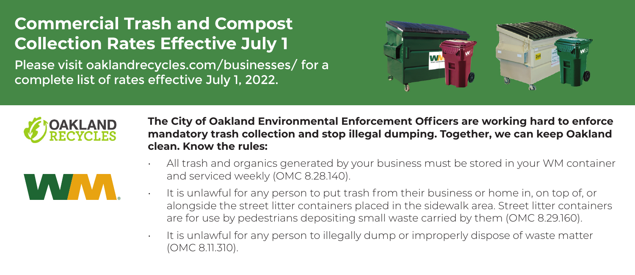## **Commercial Trash and Compost Collection Rates Effective July 1**

Please visit oaklandrecycles.com/businesses/ for a complete list of rates effective July 1, 2022.





**The City of Oakland Environmental Enforcement Officers are working hard to enforce mandatory trash collection and stop illegal dumping. Together, we can keep Oakland clean. Know the rules:**

|--|--|--|--|--|--|--|--|--|--|

- All trash and organics generated by your business must be stored in your WM container and serviced weekly (OMC 8.28.140).
- $\cdot$  It is unlawful for any person to put trash from their business or home in, on top of, or alongside the street litter containers placed in the sidewalk area. Street litter containers are for use by pedestrians depositing small waste carried by them (OMC 8.29.160).
- It is unlawful for any person to illegally dump or improperly dispose of waste matter (OMC 8.11.310).